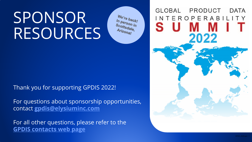# SPONSOR RESOURCES

We're back! In person in Scottson in<br>Arizodale, Arizonal

Thank you for supporting GPDIS 2022!

For questions about sponsorship opportunities, contact **[gpdis@elysiuminc.com](mailto:gpdis@elysiuminc.com)**

For all other questions, please refer to the **[GPDIS contacts web page](https://gpdisonline.com/contact-us/)**

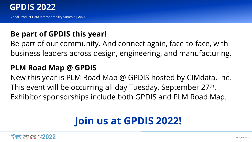

Global Product Data Interoperability Summit | **2022**

#### **Be part of GPDIS this year!**

Be part of our community. And connect again, face-to-face, with business leaders across design, engineering, and manufacturing.

#### **PLM Road Map @ GPDIS**

New this year is PLM Road Map @ GPDIS hosted by CIMdata, Inc. This event will be occurring all day Tuesday, September 27th. Exhibitor sponsorships include both GPDIS and PLM Road Map.

# **Join us at GPDIS 2022!**

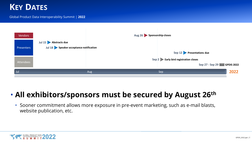#### **KEY DATES**

#### Global Product Data Interoperability Summit | **2022**



#### • **All exhibitors/sponsors must be secured by August 26th**

• Sooner commitment allows more exposure in pre-event marketing, such as e-mail blasts, website publication, etc.

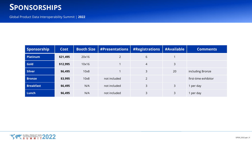#### **SPONSORSHIPS**

| Sponsorship      | <b>Cost</b> | <b>Booth Size</b> | #Presentations | #Registrations | #Available | <b>Comments</b>      |
|------------------|-------------|-------------------|----------------|----------------|------------|----------------------|
| <b>Platinum</b>  | \$21,495    | 20x16             | $\overline{2}$ | 6              |            |                      |
| Gold             | \$12,995    | 10x16             |                | $\overline{4}$ | 3          |                      |
| <b>Silver</b>    | \$6,495     | 10x8              |                | 3              | 20         | including Bronze     |
| <b>Bronze</b>    | \$3,995     | 10x8              | not included   | $\overline{2}$ |            | first-time exhibitor |
| <b>Breakfast</b> | \$6,495     | N/A               | not included   | 3              | 3          | 1 per day            |
| Lunch            | \$6,495     | N/A               | not included   | 3              | 3          | l per day            |

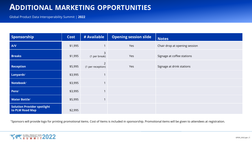#### **ADDITIONAL MARKETING OPPORTUNITIES**

Global Product Data Interoperability Summit | **2022**

| Sponsorship                                           | <b>Cost</b> | # Available                         | <b>Opening session slide</b> | <b>Notes</b>                  |
|-------------------------------------------------------|-------------|-------------------------------------|------------------------------|-------------------------------|
| A/V                                                   | \$1,995     |                                     | Yes                          | Chair drop at opening session |
| <b>Breaks</b>                                         | \$1,995     | 3<br>(1 per break)                  | Yes                          | Signage at coffee stations    |
| <b>Reception</b>                                      | \$5,995     | $\overline{2}$<br>(1 per reception) | Yes                          | Signage at drink stations     |
| Lanyards <sup>1</sup>                                 | \$3,995     | $\overline{\phantom{a}}$            |                              |                               |
| Notebook <sup>1</sup>                                 | \$3,995     | $\overline{ }$                      |                              |                               |
| Pens <sup>1</sup>                                     | \$3,995     | $\overline{\phantom{a}}$            |                              |                               |
| <b>Water Bottle1</b>                                  | \$5,995     | 1                                   |                              |                               |
| <b>Solution Provider spotlight</b><br>to PLM Road Map | \$2,995     |                                     |                              |                               |

<sup>1</sup>Sponsors will provide logo for printing promotional items. Cost of Items is included in sponsorship. Promotional items will be given to attendees at registration.

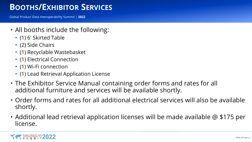## **BOOTHS/EXHIBITOR SERVICES**

- All booths include the following:
	- (1) 6' Skirted Table
	- (2) Side Chairs
	- (1) Recyclable Wastebasket
	- (1) Electrical Connection
	- (1) Wi-Fi connection
	- (1) Lead Retrieval Application License
- The Exhibitor Service Manual containing order forms and rates for all additional furniture and services will be available shortly.
- Order forms and rates for all additional electrical services will also be available shortly.
- Additional lead retrieval application licenses will be made available @ \$175 per license.

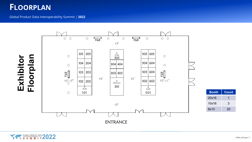#### **FLOORPLAN**



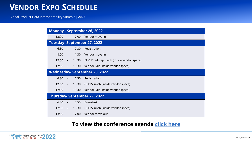#### **VENDOR EXPO SCHEDULE**

Global Product Data Interoperability Summit | **2022**

| Monday - September 26, 2022          |                |                         |                                         |  |  |  |  |
|--------------------------------------|----------------|-------------------------|-----------------------------------------|--|--|--|--|
| 13:00                                |                | 17:00                   | Vendor move-in                          |  |  |  |  |
| <b>Tuesday- September 27, 2022</b>   |                |                         |                                         |  |  |  |  |
| 6:30                                 |                | 17:30                   | Registration                            |  |  |  |  |
| 8:00                                 |                | 11:30<br>$\blacksquare$ | Vendor move-in                          |  |  |  |  |
| 12:00                                | $\sim$ $-$     | 13:30                   | PLM Roadmap lunch (inside vendor space) |  |  |  |  |
| 17:30                                | $\sim$ $-$     | 19:30                   | Vendor Fair (inside vendor space)       |  |  |  |  |
| <b>Wednesday- September 28, 2022</b> |                |                         |                                         |  |  |  |  |
| 6:30                                 | $\blacksquare$ | 17:30                   | Registration                            |  |  |  |  |
| 12:00                                | $\sim$ $-$     | 13:30                   | GPDIS lunch (inside vendor space)       |  |  |  |  |
| 17:30                                | $\sim$ $-$     | 19:30                   | Vendor Fair (inside vendor space)       |  |  |  |  |
| <b>Thursday- September 29, 2022</b>  |                |                         |                                         |  |  |  |  |
| 6:30                                 | $\blacksquare$ | 7:50                    | <b>Breakfast</b>                        |  |  |  |  |
| 12:00                                | $\sim$         | 13:30                   | GPDIS lunch (inside vendor space)       |  |  |  |  |
| 13:30                                |                | 17:00                   | Vendor move out                         |  |  |  |  |

#### **To view the conference agenda [click here](https://gpdisonline.com/agenda/)**

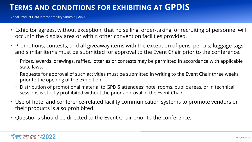#### **TERMS AND CONDITIONS FOR EXHIBITING AT GPDIS**

- Exhibitor agrees, without exception, that no selling, order-taking, or recruiting of personnel will occur in the display area or within other convention facilities provided.
- Promotions, contests, and all giveaway items with the exception of pens, pencils, luggage tags and similar items must be submitted for approval to the Event Chair prior to the conference.
	- Prizes, awards, drawings, raffles, lotteries or contests may be permitted in accordance with applicable state laws.
	- Requests for approval of such activities must be submitted in writing to the Event Chair three weeks prior to the opening of the exhibition.
	- Distribution of promotional material to GPDIS attendees' hotel rooms, public areas, or in technical sessions is strictly prohibited without the prior approval of the Event Chair.
- Use of hotel and conference-related facility communication systems to promote vendors or their products is also prohibited.
- Questions should be directed to the Event Chair prior to the conference.

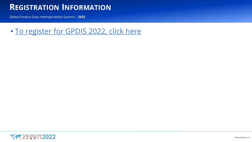#### **REGISTRATION INFORMATION**

Global Product Data Interoperability Summit | **2022**

• [To register for GPDIS 2022, click here](https://www.onlineregistrationcenter.com/register/222/page1.asp?m=4293&c=43)